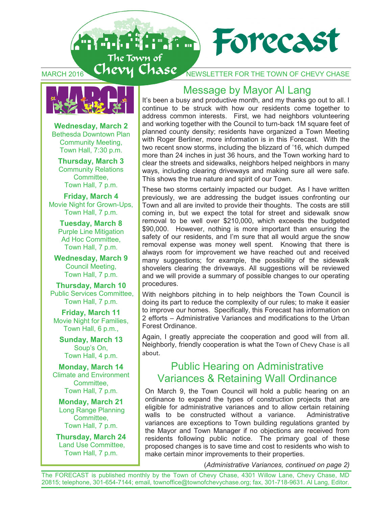



**Wednesday, March 2** Bethesda Downtown Plan Community Meeting, Town Hall, 7:30 p.m.

**Thursday, March 3**  Community Relations Committee, Town Hall, 7 p.m.

**Friday, March 4** Movie Night for Grown-Ups, Town Hall, 7 p.m.

**Tuesday, March 8**  Purple Line Mitigation Ad Hoc Committee, Town Hall, 7 p.m.

**Wednesday, March 9** Council Meeting, Town Hall, 7 p.m.

**Thursday, March 10** Public Services Committee, Town Hall, 7 p.m.

**Friday, March 11**  Movie Night for Families, Town Hall, 6 p.m.,

**Sunday, March 13** Soup's On, Town Hall, 4 p.m.

**Monday, March 14**  Climate and Environment Committee, Town Hall, 7 p.m.

**Monday, March 21**  Long Range Planning Committee, Town Hall, 7 p.m.

**Thursday, March 24**  Land Use Committee, Town Hall, 7 p.m.

## Message by Mayor Al Lang

It's been a busy and productive month, and my thanks go out to all. I continue to be struck with how our residents come together to address common interests. First, we had neighbors volunteering and working together with the Council to turn-back 1M square feet of planned county density; residents have organized a Town Meeting with Roger Berliner, more information is in this Forecast. With the two recent snow storms, including the blizzard of '16, which dumped more than 24 inches in just 36 hours, and the Town working hard to clear the streets and sidewalks, neighbors helped neighbors in many ways, including clearing driveways and making sure all were safe. This shows the true nature and spirit of our Town.

These two storms certainly impacted our budget. As I have written previously, we are addressing the budget issues confronting our Town and all are invited to provide their thoughts. The costs are still coming in, but we expect the total for street and sidewalk snow removal to be well over \$210,000, which exceeds the budgeted \$90,000. However, nothing is more important than ensuring the safety of our residents, and I'm sure that all would argue the snow removal expense was money well spent. Knowing that there is always room for improvement we have reached out and received many suggestions; for example, the possibility of the sidewalk shovelers clearing the driveways. All suggestions will be reviewed and we will provide a summary of possible changes to our operating procedures.

With neighbors pitching in to help neighbors the Town Council is doing its part to reduce the complexity of our rules; to make it easier to improve our homes. Specifically, this Forecast has information on 2 efforts – Administrative Variances and modifications to the Urban Forest Ordinance.

Again, I greatly appreciate the cooperation and good will from all. Neighborly, friendly cooperation is what the Town of Chevy Chase is all about.

## Public Hearing on Administrative Variances & Retaining Wall Ordinance

On March 9, the Town Council will hold a public hearing on an ordinance to expand the types of construction projects that are eligible for administrative variances and to allow certain retaining walls to be constructed without a variance. Administrative variances are exceptions to Town building regulations granted by the Mayor and Town Manager if no objections are received from residents following public notice. The primary goal of these proposed changes is to save time and cost to residents who wish to make certain minor improvements to their properties.

(*Administrative Variances, continued on page 2)*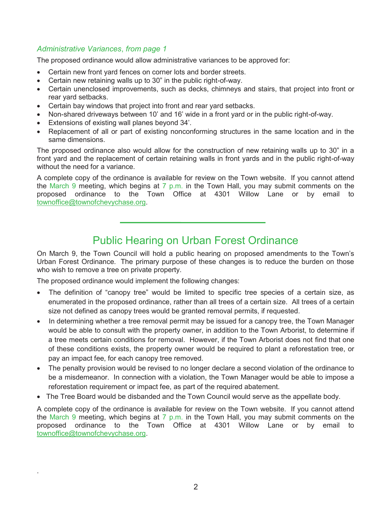#### *Administrative Variances*, *from page 1*

The proposed ordinance would allow administrative variances to be approved for:

- Certain new front yard fences on corner lots and border streets.
- Certain new retaining walls up to 30" in the public right-of-way.
- Certain unenclosed improvements, such as decks, chimneys and stairs, that project into front or rear yard setbacks.
- Certain bay windows that project into front and rear yard setbacks.
- Non-shared driveways between 10' and 16' wide in a front yard or in the public right-of-way.
- Extensions of existing wall planes beyond 34'.
- Replacement of all or part of existing nonconforming structures in the same location and in the same dimensions.

The proposed ordinance also would allow for the construction of new retaining walls up to 30" in a front yard and the replacement of certain retaining walls in front yards and in the public right-of-way without the need for a variance.

A complete copy of the ordinance is available for review on the Town website. If you cannot attend the March 9 meeting, which begins at 7 p.m. in the Town Hall, you may submit comments on the proposed ordinance to the Town Office at 4301 Willow Lane or by email to townoffice@townofchevychase.org.

## Public Hearing on Urban Forest Ordinance

On March 9, the Town Council will hold a public hearing on proposed amendments to the Town's Urban Forest Ordinance. The primary purpose of these changes is to reduce the burden on those who wish to remove a tree on private property.

The proposed ordinance would implement the following changes:

.

- The definition of "canopy tree" would be limited to specific tree species of a certain size, as enumerated in the proposed ordinance, rather than all trees of a certain size. All trees of a certain size not defined as canopy trees would be granted removal permits, if requested.
- In determining whether a tree removal permit may be issued for a canopy tree, the Town Manager would be able to consult with the property owner, in addition to the Town Arborist, to determine if a tree meets certain conditions for removal. However, if the Town Arborist does not find that one of these conditions exists, the property owner would be required to plant a reforestation tree, or pay an impact fee, for each canopy tree removed.
- The penalty provision would be revised to no longer declare a second violation of the ordinance to be a misdemeanor. In connection with a violation, the Town Manager would be able to impose a reforestation requirement or impact fee, as part of the required abatement.
- The Tree Board would be disbanded and the Town Council would serve as the appellate body.

A complete copy of the ordinance is available for review on the Town website. If you cannot attend the March 9 meeting, which begins at 7 p.m. in the Town Hall, you may submit comments on the proposed ordinance to the Town Office at 4301 Willow Lane or by email to townoffice@townofchevychase.org.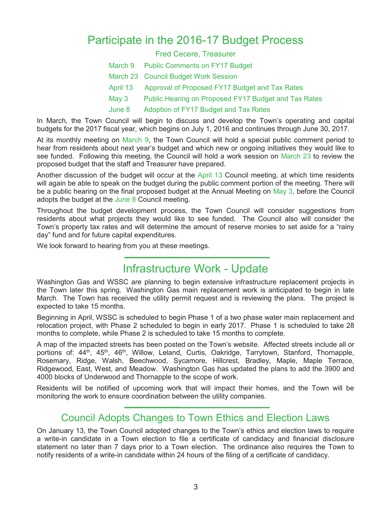## Participate in the 2016-17 Budget Process

#### Fred Cecere, Treasurer

- March 9 Public Comments on FY17 Budget
- March 23 Council Budget Work Session
- April 13 Approval of Proposed FY17 Budget and Tax Rates
- May 3 Public Hearing on Proposed FY17 Budget and Tax Rates
- June 8 Adoption of FY17 Budget and Tax Rates

In March, the Town Council will begin to discuss and develop the Town's operating and capital budgets for the 2017 fiscal year, which begins on July 1, 2016 and continues through June 30, 2017.

At its monthly meeting on March 9, the Town Council will hold a special public comment period to hear from residents about next year's budget and which new or ongoing initiatives they would like to see funded. Following this meeting, the Council will hold a work session on March 23 to review the proposed budget that the staff and Treasurer have prepared.

Another discussion of the budget will occur at the April 13 Council meeting, at which time residents will again be able to speak on the budget during the public comment portion of the meeting. There will be a public hearing on the final proposed budget at the Annual Meeting on May 3, before the Council adopts the budget at the June 8 Council meeting.

Throughout the budget development process, the Town Council will consider suggestions from residents about what projects they would like to see funded. The Council also will consider the Town's property tax rates and will determine the amount of reserve monies to set aside for a "rainy day" fund and for future capital expenditures.

We look forward to hearing from you at these meetings.

## Infrastructure Work - Update

Washington Gas and WSSC are planning to begin extensive infrastructure replacement projects in the Town later this spring. Washington Gas main replacement work is anticipated to begin in late March. The Town has received the utility permit request and is reviewing the plans. The project is expected to take 15 months.

Beginning in April, WSSC is scheduled to begin Phase 1 of a two phase water main replacement and relocation project, with Phase 2 scheduled to begin in early 2017. Phase 1 is scheduled to take 28 months to complete, while Phase 2 is scheduled to take 15 months to complete.

A map of the impacted streets has been posted on the Town's website. Affected streets include all or portions of: 44<sup>th</sup>, 45<sup>th</sup>, 46<sup>th</sup>, Willow, Leland, Curtis, Oakridge, Tarrytown, Stanford, Thornapple, Rosemary, Ridge, Walsh, Beechwood, Sycamore, Hillcrest, Bradley, Maple, Maple Terrace, Ridgewood, East, West, and Meadow. Washington Gas has updated the plans to add the 3900 and 4000 blocks of Underwood and Thornapple to the scope of work.

Residents will be notified of upcoming work that will impact their homes, and the Town will be monitoring the work to ensure coordination between the utility companies.

## Council Adopts Changes to Town Ethics and Election Laws

On January 13, the Town Council adopted changes to the Town's ethics and election laws to require a write-in candidate in a Town election to file a certificate of candidacy and financial disclosure statement no later than 7 days prior to a Town election. The ordinance also requires the Town to notify residents of a write-in candidate within 24 hours of the filing of a certificate of candidacy.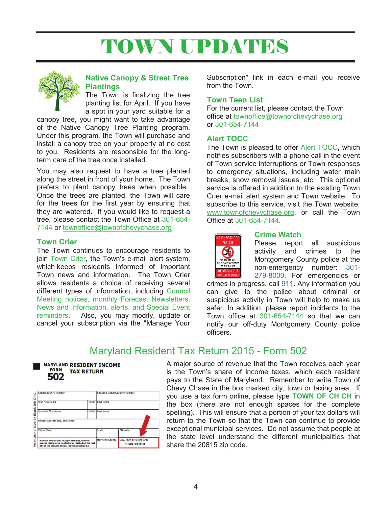# TOWN UPDATES



#### **Native Canopy & Street Tree Plantings**

The Town is finalizing the tree planting list for April. If you have a spot in your yard suitable for a

canopy tree, you might want to take advantage of the Native Canopy Tree Planting program. Under this program, the Town will purchase and install a canopy tree on your property at no cost to you. Residents are responsible for the longterm care of the tree once installed.

You may also request to have a tree planted along the street in front of your home. The Town prefers to plant canopy trees when possible. Once the trees are planted, the Town will care for the trees for the first year by ensuring that they are watered. If you would like to request a tree, please contact the Town Office at 301-654- 7144 or townoffice@townofchevychase.org

#### **Town Crier**

The Town continues to encourage residents to join Town Crier, the Town's e-mail alert system, which keeps residents informed of important Town news and information. The Town Crier allows residents a choice of receiving several different types of information, including Council Meeting notices, monthly Forecast Newsletters, News and Information, alerts, and Special Event reminders. Also, you may modify, update or cancel your subscription via the "Manage Your

Subscription" link in each e-mail you receive from the Town.

#### **Town Teen List**

For the current list, please contact the Town office at townoffice@townofchevychase.org or 301-654-7144

#### **Alert TOCC**

The Town is pleased to offer Alert TOCC**,** which notifies subscribers with a phone call in the event of Town service interruptions or Town responses to emergency situations, including water main breaks, snow removal issues, etc. This optional service is offered in addition to the existing Town Crier e-mail alert system and Town website. To subscribe to this service, visit the Town website, www.townofchevychase.org, or call the Town Office at 301-654-7144.



#### **Crime Watch**

Please report all suspicious activity and crimes to the Montgomery County police at the non-emergency number: 301- 279-8000. For emergencies or

crimes in progress, call 911. Any information you can give to the police about criminal or suspicious activity in Town will help to make us safer. In addition, please report incidents to the Town office at 301-654-7144 so that we can notify our off-duty Montgomery County police officers.

## Maryland Resident Tax Return 2015 - Form 502

#### **MARYLAND RESIDENT INCOME FORM TAX RETURN** 502

| <b>Social Security Number</b>                                                                                                                            |         | Spouse's Social Security Number |                                                   |
|----------------------------------------------------------------------------------------------------------------------------------------------------------|---------|---------------------------------|---------------------------------------------------|
| Your First Name                                                                                                                                          |         | Initial Last Name               |                                                   |
| Spouse's First Name                                                                                                                                      | Initial | Last Name                       |                                                   |
| Present Address (No. and street)                                                                                                                         |         |                                 |                                                   |
| City or Town                                                                                                                                             |         | State                           | ZIP code                                          |
| Name of county and incorporated city, town or<br>special taxing area in which you resided on the last<br>day of the taxable period. (See Instruction 6.) |         | Maryland County                 | City, Town or Taxing Area<br><b>TOWN Of CH CH</b> |

A major source of revenue that the Town receives each year is the Town's share of income taxes, which each resident pays to the State of Maryland. Remember to write Town of Chevy Chase in the box marked city, town or taxing area. If you use a tax form online, please type **TOWN OF CH CH** in the box (there are not enough spaces for the complete spelling). This will ensure that a portion of your tax dollars will return to the Town so that the Town can continue to provide exceptional municipal services. Do not assume that people at the state level understand the different municipalities that share the 20815 zip code.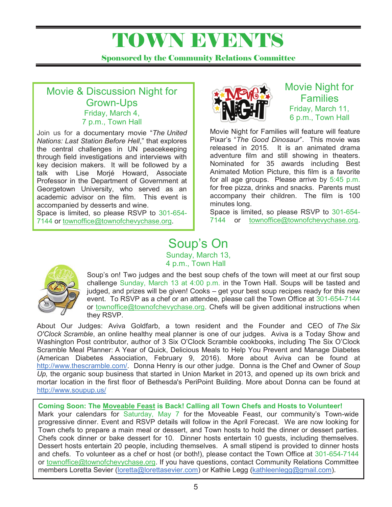## TOWN EVENTS

Sponsored by the Community Relations Committee

## Movie & Discussion Night for Grown-Ups Friday, March 4, 7 p.m., Town Hall

Join us for a documentary movie "*The United Nations: Last Station Before Hell*," that explores the central challenges in UN peacekeeping through field investigations and interviews with key decision makers. It will be followed by a talk with Lise Morjé Howard, Associate Professor in the Department of Government at Georgetown University, who served as an academic advisor on the film. This event is accompanied by desserts and wine.

Space is limited, so please RSVP to 301-654- 7144 or townoffice@townofchevychase.org.



Movie Night for Families Friday, March 11, 6 p.m., Town Hall

Movie Night for Families will feature will feature Pixar's "*The Good Dinosaur*". This movie was released in 2015. It is an animated drama adventure film and still showing in theaters. Nominated for 35 awards including Best Animated Motion Picture, this film is a favorite for all age groups. Please arrive by 5:45 p.m. for free pizza, drinks and snacks. Parents must accompany their children. The film is 100 minutes long.

Space is limited, so please RSVP to 301-654- 7144 or townoffice@townofchevychase.org.

## Soup's On Sunday, March 13, 4 p.m., Town Hall



Soup's on! Two judges and the best soup chefs of the town will meet at our first soup challenge Sunday, March 13 at 4:00 p.m. in the Town Hall. Soups will be tasted and judged, and prizes will be given! Cooks – get your best soup recipes ready for this new event. To RSVP as a chef or an attendee, please call the Town Office at 301-654-7144 or townoffice@townofchevychase.org. Chefs will be given additional instructions when they RSVP.

About Our Judges: Aviva Goldfarb, a town resident and the Founder and CEO of *The Six O'Clock Scramble*, an online healthy meal planner is one of our judges. Aviva is a Today Show and Washington Post contributor, author of 3 Six O'Clock Scramble cookbooks, including The Six O'Clock Scramble Meal Planner: A Year of Quick, Delicious Meals to Help You Prevent and Manage Diabetes (American Diabetes Association, February 9, 2016). More about Aviva can be found at http://www.thescramble.com/. Donna Henry is our other judge. Donna is the Chef and Owner of *Soup Up,* the organic soup business that started in Union Market in 2013, and opened up its own brick and mortar location in the first floor of Bethesda's PeriPoint Building. More about Donna can be found at http://www.soupup.us/

#### **Coming Soon: The Moveable Feast is Back! Calling all Town Chefs and Hosts to Volunteer!**

Mark your calendars for Saturday, May 7 for the Moveable Feast, our community's Town-wide progressive dinner. Event and RSVP details will follow in the April Forecast. We are now looking for Town chefs to prepare a main meal or dessert, and Town hosts to hold the dinner or dessert parties. Chefs cook dinner or bake dessert for 10. Dinner hosts entertain 10 guests, including themselves. Dessert hosts entertain 20 people, including themselves. A small stipend is provided to dinner hosts and chefs. To volunteer as a chef or host (or both!), please contact the Town Office at 301-654-7144 or townoffice@townofchevychase.org. If you have questions, contact Community Relations Committee members Loretta Sevier (loretta@lorettasevier.com) or Kathie Legg (kathleenlegg@gmail.com).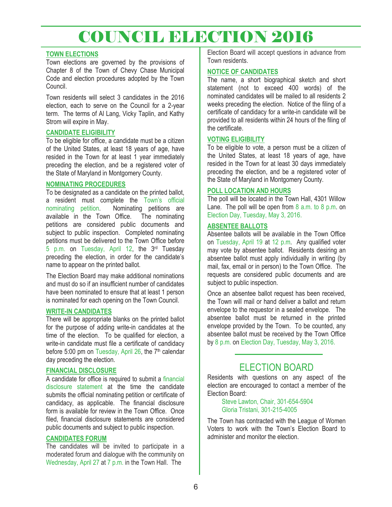## COUNCIL ELECTION 2016

#### **TOWN ELECTIONS**

Town elections are governed by the provisions of Chapter 8 of the Town of Chevy Chase Municipal Code and election procedures adopted by the Town Council.

Town residents will select 3 candidates in the 2016 election, each to serve on the Council for a 2-year term. The terms of Al Lang, Vicky Taplin, and Kathy Strom will expire in May.

#### **CANDIDATE ELIGIBILITY**

To be eligible for office, a candidate must be a citizen of the United States, at least 18 years of age, have resided in the Town for at least 1 year immediately preceding the election, and be a registered voter of the State of Maryland in Montgomery County.

#### **NOMINATING PROCEDURES**

To be designated as a candidate on the printed ballot, a resident must complete the Town's official nominating petition. Nominating petitions are available in the Town Office. The nominating petitions are considered public documents and subject to public inspection. Completed nominating petitions must be delivered to the Town Office before 5 p.m. on Tuesday, April 12, the 3rd Tuesday preceding the election, in order for the candidate's name to appear on the printed ballot.

The Election Board may make additional nominations and must do so if an insufficient number of candidates have been nominated to ensure that at least 1 person is nominated for each opening on the Town Council.

#### **WRITE-IN CANDIDATES**

There will be appropriate blanks on the printed ballot for the purpose of adding write-in candidates at the time of the election. To be qualified for election, a write-in candidate must file a certificate of candidacy before 5:00 pm on Tuesday, April 26, the  $7<sup>th</sup>$  calendar day preceding the election.

#### **FINANCIAL DISCLOSURE**

A candidate for office is required to submit a financial disclosure statement at the time the candidate submits the official nominating petition or certificate of candidacy, as applicable. The financial disclosure form is available for review in the Town Office. Once filed, financial disclosure statements are considered public documents and subject to public inspection.

#### **CANDIDATES FORUM**

The candidates will be invited to participate in a moderated forum and dialogue with the community on Wednesday, April 27 at 7 p.m. in the Town Hall. The

Election Board will accept questions in advance from Town residents.

#### **NOTICE OF CANDIDATES**

The name, a short biographical sketch and short statement (not to exceed 400 words) of the nominated candidates will be mailed to all residents 2 weeks preceding the election. Notice of the filing of a certificate of candidacy for a write-in candidate will be provided to all residents within 24 hours of the filing of the certificate.

#### **VOTING ELIGIBILITY**

To be eligible to vote, a person must be a citizen of the United States, at least 18 years of age, have resided in the Town for at least 30 days immediately preceding the election, and be a registered voter of the State of Maryland in Montgomery County.

#### **POLL LOCATION AND HOURS**

The poll will be located in the Town Hall, 4301 Willow Lane. The poll will be open from  $8$  a.m. to  $8$  p.m. on Election Day, Tuesday, May 3, 2016.

#### **ABSENTEE BALLOTS**

Absentee ballots will be available in the Town Office on Tuesday, April 19 at 12 p.m. Any qualified voter may vote by absentee ballot. Residents desiring an absentee ballot must apply individually in writing (by mail, fax, email or in person) to the Town Office. The requests are considered public documents and are subject to public inspection.

Once an absentee ballot request has been received, the Town will mail or hand deliver a ballot and return envelope to the requestor in a sealed envelope. The absentee ballot must be returned in the printed envelope provided by the Town. To be counted, any absentee ballot must be received by the Town Office by 8 p.m. on Election Day, Tuesday, May 3, 2016.

## ELECTION BOARD

Residents with questions on any aspect of the election are encouraged to contact a member of the Election Board:

> Steve Lawton, Chair, 301-654-5904 Gloria Tristani, 301-215-4005

The Town has contracted with the League of Women Voters to work with the Town's Election Board to administer and monitor the election.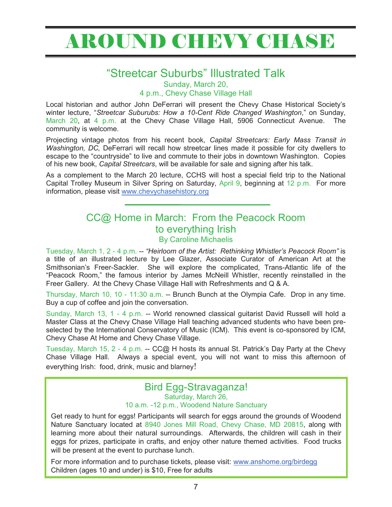# AROUND CHEVY CHASE

## "Streetcar Suburbs" Illustrated Talk

Sunday, March 20,

4 p.m., Chevy Chase Village Hall

Local historian and author John DeFerrari will present the Chevy Chase Historical Society's winter lecture, "*Streetcar Suburubs: How a 10-Cent Ride Changed Washington*," on Sunday, March 20, at 4 p.m. at the Chevy Chase Village Hall, 5906 Connecticut Avenue. The community is welcome.

Projecting vintage photos from his recent book, *Capital Streetcars: Early Mass Transit in Washington, DC,* DeFerrari will recall how streetcar lines made it possible for city dwellers to escape to the "countryside" to live and commute to their jobs in downtown Washington. Copies of his new book, *Capital Streetcars*, will be available for sale and signing after his talk.

As a complement to the March 20 lecture, CCHS will host a special field trip to the National Capital Trolley Museum in Silver Spring on Saturday, April 9, beginning at 12 p.m. For more information, please visit www.chevychasehistory.org

## CC@ Home in March: From the Peacock Room to everything Irish By Caroline Michaelis

Tuesday, March 1, 2 - 4 p.m. -- *"Heirloom of the Artist: Rethinking Whistler's Peacock Room"* is a title of an illustrated lecture by Lee Glazer, Associate Curator of American Art at the Smithsonian's Freer-Sackler. She will explore the complicated, Trans-Atlantic life of the "Peacock Room," the famous interior by James McNeill Whistler, recently reinstalled in the Freer Gallery. At the Chevy Chase Village Hall with Refreshments and Q & A.

Thursday, March 10, 10 - 11:30 a.m. -- Brunch Bunch at the Olympia Cafe. Drop in any time. Buy a cup of coffee and join the conversation.

Sunday, March 13, 1 - 4 p.m. -- World renowned classical guitarist David Russell will hold a Master Class at the Chevy Chase Village Hall teaching advanced students who have been preselected by the International Conservatory of Music (ICM). This event is co-sponsored by ICM, Chevy Chase At Home and Chevy Chase Village.

Tuesday, March 15, 2 - 4 p.m. -- CC@ H hosts its annual St. Patrick's Day Party at the Chevy Chase Village Hall. Always a special event, you will not want to miss this afternoon of everything Irish: food, drink, music and blarney!

#### Bird Egg-Stravaganza! Saturday, March 26, 10 a.m. -12 p.m., Woodend Nature Sanctuary

Get ready to hunt for eggs! Participants will search for eggs around the grounds of Woodend Nature Sanctuary located at 8940 Jones Mill Road, Chevy Chase, MD 20815, along with learning more about their natural surroundings. Afterwards, the children will cash in their eggs for prizes, participate in crafts, and enjoy other nature themed activities. Food trucks will be present at the event to purchase lunch.

For more information and to purchase tickets, please visit: www.anshome.org/birdegg Children (ages 10 and under) is \$10, Free for adults

-